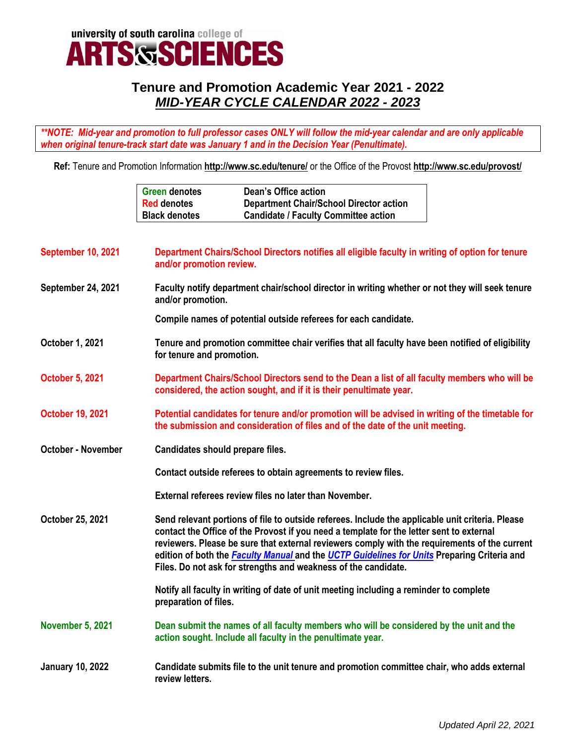

## **Tenure and Promotion Academic Year 2021 - 2022** *MID-YEAR CYCLE CALENDAR 2022 - 2023*

*\*\*NOTE: Mid-year and promotion to full professor cases ONLY will follow the mid-year calendar and are only applicable when original tenure-track start date was January 1 and in the Decision Year (Penultimate).*

**Ref:** Tenure and Promotion Information **<http://www.sc.edu/tenure/>** or the Office of the Provost **http://www.sc.edu/provost/**

|                           | <b>Dean's Office action</b><br><b>Green denotes</b><br><b>Department Chair/School Director action</b><br><b>Red denotes</b><br><b>Candidate / Faculty Committee action</b><br><b>Black denotes</b>                                                                                                                                                                                                                                                             |  |
|---------------------------|----------------------------------------------------------------------------------------------------------------------------------------------------------------------------------------------------------------------------------------------------------------------------------------------------------------------------------------------------------------------------------------------------------------------------------------------------------------|--|
| September 10, 2021        | Department Chairs/School Directors notifies all eligible faculty in writing of option for tenure<br>and/or promotion review.                                                                                                                                                                                                                                                                                                                                   |  |
| September 24, 2021        | Faculty notify department chair/school director in writing whether or not they will seek tenure<br>and/or promotion.                                                                                                                                                                                                                                                                                                                                           |  |
|                           | Compile names of potential outside referees for each candidate.                                                                                                                                                                                                                                                                                                                                                                                                |  |
| October 1, 2021           | Tenure and promotion committee chair verifies that all faculty have been notified of eligibility<br>for tenure and promotion.                                                                                                                                                                                                                                                                                                                                  |  |
| <b>October 5, 2021</b>    | Department Chairs/School Directors send to the Dean a list of all faculty members who will be<br>considered, the action sought, and if it is their penultimate year.                                                                                                                                                                                                                                                                                           |  |
| <b>October 19, 2021</b>   | Potential candidates for tenure and/or promotion will be advised in writing of the timetable for<br>the submission and consideration of files and of the date of the unit meeting.                                                                                                                                                                                                                                                                             |  |
| <b>October - November</b> | Candidates should prepare files.                                                                                                                                                                                                                                                                                                                                                                                                                               |  |
|                           | Contact outside referees to obtain agreements to review files.                                                                                                                                                                                                                                                                                                                                                                                                 |  |
|                           | External referees review files no later than November.                                                                                                                                                                                                                                                                                                                                                                                                         |  |
| October 25, 2021          | Send relevant portions of file to outside referees. Include the applicable unit criteria. Please<br>contact the Office of the Provost if you need a template for the letter sent to external<br>reviewers. Please be sure that external reviewers comply with the requirements of the current<br>edition of both the Faculty Manual and the UCTP Guidelines for Units Preparing Criteria and<br>Files. Do not ask for strengths and weakness of the candidate. |  |
|                           | Notify all faculty in writing of date of unit meeting including a reminder to complete<br>preparation of files.                                                                                                                                                                                                                                                                                                                                                |  |
| <b>November 5, 2021</b>   | Dean submit the names of all faculty members who will be considered by the unit and the<br>action sought. Include all faculty in the penultimate year.                                                                                                                                                                                                                                                                                                         |  |
| <b>January 10, 2022</b>   | Candidate submits file to the unit tenure and promotion committee chair, who adds external<br>review letters.                                                                                                                                                                                                                                                                                                                                                  |  |